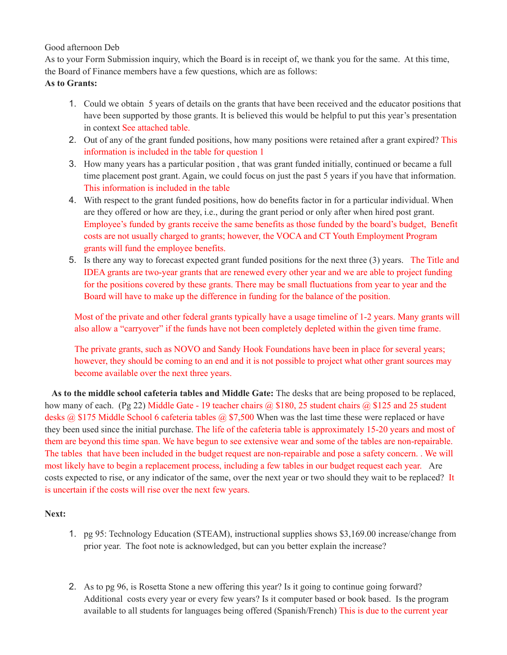Good afternoon Deb

As to your Form Submission inquiry, which the Board is in receipt of, we thank you for the same. At this time, the Board of Finance members have a few questions, which are as follows: **As to Grants:**

- 1. Could we obtain 5 years of details on the grants that have been received and the educator positions that have been supported by those grants. It is believed this would be helpful to put this year's presentation in context See attached table.
- 2. Out of any of the grant funded positions, how many positions were retained after a grant expired? This information is included in the table for question 1
- 3. How many years has a particular position , that was grant funded initially, continued or became a full time placement post grant. Again, we could focus on just the past 5 years if you have that information. This information is included in the table
- 4. With respect to the grant funded positions, how do benefits factor in for a particular individual. When are they offered or how are they, i.e., during the grant period or only after when hired post grant. Employee's funded by grants receive the same benefits as those funded by the board's budget, Benefit costs are not usually charged to grants; however, the VOCA and CT Youth Employment Program grants will fund the employee benefits.
- 5. Is there any way to forecast expected grant funded positions for the next three (3) years. The Title and IDEA grants are two-year grants that are renewed every other year and we are able to project funding for the positions covered by these grants. There may be small fluctuations from year to year and the Board will have to make up the difference in funding for the balance of the position.

Most of the private and other federal grants typically have a usage timeline of 1-2 years. Many grants will also allow a "carryover" if the funds have not been completely depleted within the given time frame.

The private grants, such as NOVO and Sandy Hook Foundations have been in place for several years; however, they should be coming to an end and it is not possible to project what other grant sources may become available over the next three years.

**As to the middle school cafeteria tables and Middle Gate:** The desks that are being proposed to be replaced, how many of each. (Pg 22) Middle Gate - 19 teacher chairs @ \$180, 25 student chairs @ \$125 and 25 student desks  $(a)$  \$175 Middle School 6 cafeteria tables  $(a)$  \$7,500 When was the last time these were replaced or have they been used since the initial purchase. The life of the cafeteria table is approximately 15-20 years and most of them are beyond this time span. We have begun to see extensive wear and some of the tables are non-repairable. The tables that have been included in the budget request are non-repairable and pose a safety concern. . We will most likely have to begin a replacement process, including a few tables in our budget request each year. Are costs expected to rise, or any indicator of the same, over the next year or two should they wait to be replaced? It is uncertain if the costs will rise over the next few years.

## **Next:**

- 1. pg 95: Technology Education (STEAM), instructional supplies shows \$3,169.00 increase/change from prior year. The foot note is acknowledged, but can you better explain the increase?
- 2. As to pg 96, is Rosetta Stone a new offering this year? Is it going to continue going forward? Additional costs every year or every few years? Is it computer based or book based. Is the program available to all students for languages being offered (Spanish/French) This is due to the current year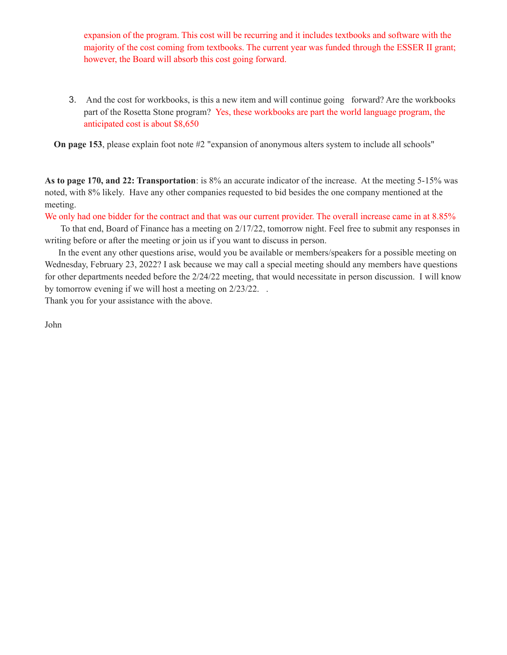expansion of the program. This cost will be recurring and it includes textbooks and software with the majority of the cost coming from textbooks. The current year was funded through the ESSER II grant; however, the Board will absorb this cost going forward.

3. And the cost for workbooks, is this a new item and will continue going forward? Are the workbooks part of the Rosetta Stone program? Yes, these workbooks are part the world language program, the anticipated cost is about \$8,650

**On page 153**, please explain foot note #2 "expansion of anonymous alters system to include all schools"

**As to page 170, and 22: Transportation**: is 8% an accurate indicator of the increase. At the meeting 5-15% was noted, with 8% likely. Have any other companies requested to bid besides the one company mentioned at the meeting.

We only had one bidder for the contract and that was our current provider. The overall increase came in at 8.85%

To that end, Board of Finance has a meeting on 2/17/22, tomorrow night. Feel free to submit any responses in writing before or after the meeting or join us if you want to discuss in person.

In the event any other questions arise, would you be available or members/speakers for a possible meeting on Wednesday, February 23, 2022? I ask because we may call a special meeting should any members have questions for other departments needed before the 2/24/22 meeting, that would necessitate in person discussion. I will know by tomorrow evening if we will host a meeting on 2/23/22. .

Thank you for your assistance with the above.

John